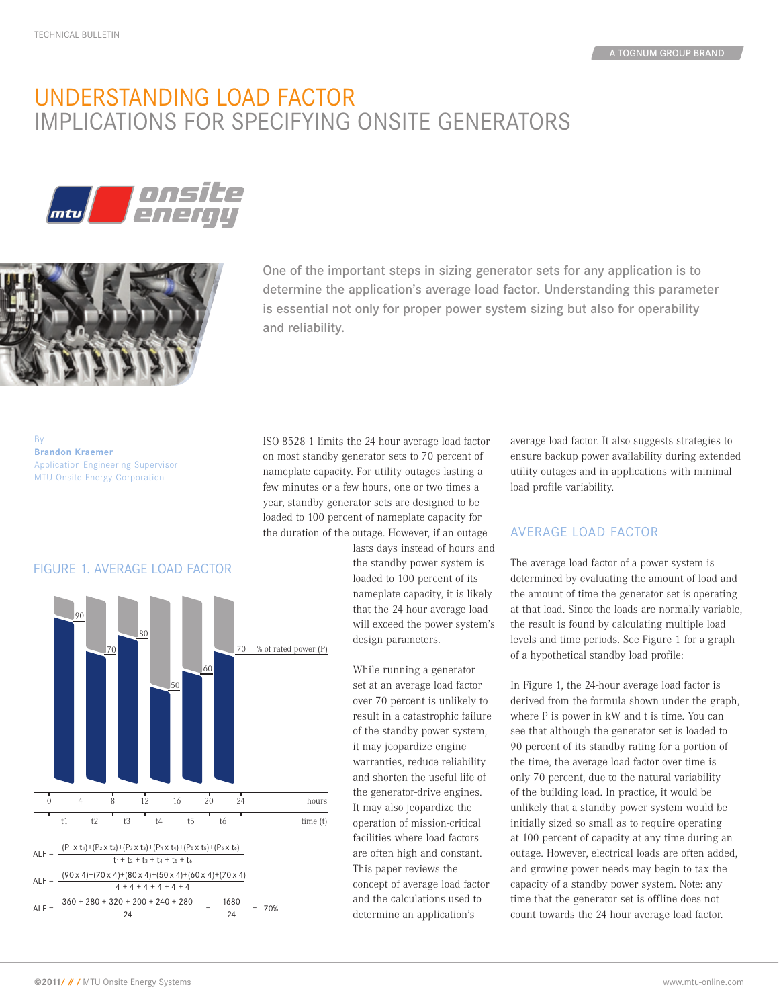# understanding load factor implications for specifYing onsite generators





One of the important steps in sizing generator sets for any application is to determine the application's average load factor. Understanding this parameter is essential not only for proper power system sizing but also for operability and reliability.

By **Brandon Kraemer**  Application Engineering Supervisor MTU Onsite Energy Corporation

ISO-8528-1 limits the 24-hour average load factor on most standby generator sets to 70 percent of nameplate capacity. For utility outages lasting a few minutes or a few hours, one or two times a year, standby generator sets are designed to be loaded to 100 percent of nameplate capacity for the duration of the outage. However, if an outage

lasts days instead of hours and the standby power system is loaded to 100 percent of its nameplate capacity, it is likely that the 24-hour average load will exceed the power system's design parameters.

While running a generator set at an average load factor over 70 percent is unlikely to result in a catastrophic failure of the standby power system, it may jeopardize engine warranties, reduce reliability and shorten the useful life of the generator-drive engines. It may also jeopardize the operation of mission-critical facilities where load factors are often high and constant. This paper reviews the concept of average load factor and the calculations used to determine an application's

average load factor. It also suggests strategies to ensure backup power availability during extended utility outages and in applications with minimal load profile variability.

#### aVerage load factor

The average load factor of a power system is determined by evaluating the amount of load and the amount of time the generator set is operating at that load. Since the loads are normally variable, the result is found by calculating multiple load levels and time periods. See Figure 1 for a graph of a hypothetical standby load profile:

In Figure 1, the 24-hour average load factor is derived from the formula shown under the graph, where P is power in kW and t is time. You can see that although the generator set is loaded to 90 percent of its standby rating for a portion of the time, the average load factor over time is only 70 percent, due to the natural variability of the building load. In practice, it would be unlikely that a standby power system would be initially sized so small as to require operating at 100 percent of capacity at any time during an outage. However, electrical loads are often added, and growing power needs may begin to tax the capacity of a standby power system. Note: any time that the generator set is offline does not count towards the 24-hour average load factor.

### FIGURE 1. AVERAGE LOAD FACTOR figure 1. aVerage load factor

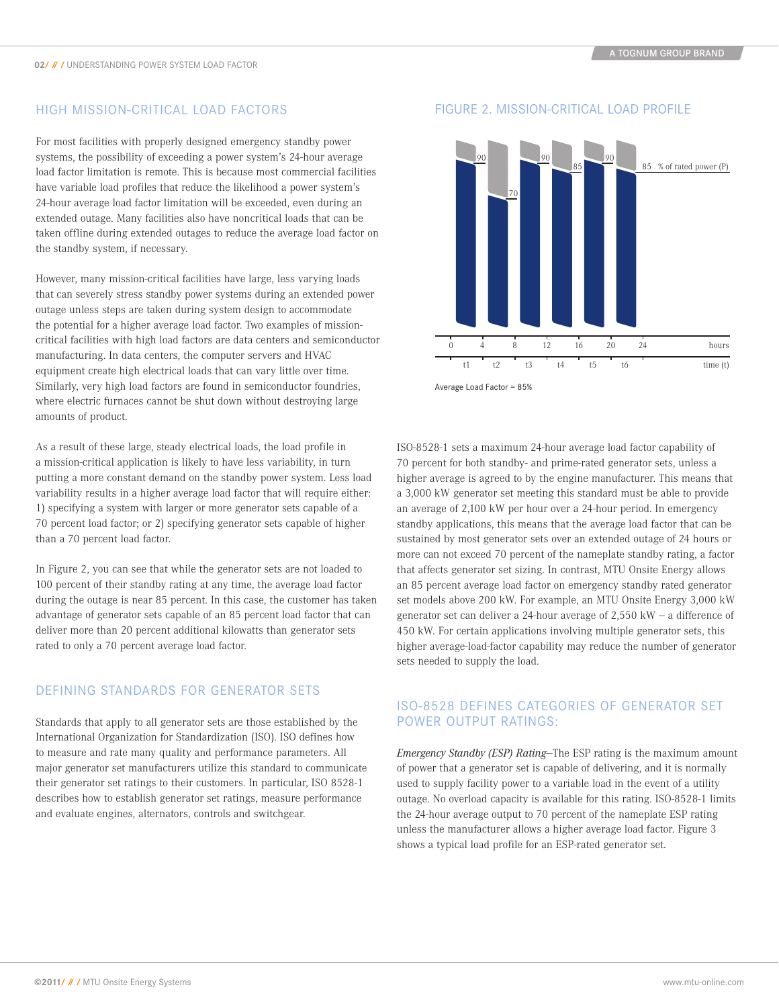#### High mission-critical load factors

For most facilities with properly designed emergency standby power systems, the possibility of exceeding a power system's 24-hour average load factor limitation is remote. This is because most commercial facilities have variable load profiles that reduce the likelihood a power system's 24-hour average load factor limitation will be exceeded, even during an extended outage. Many facilities also have noncritical loads that can be taken offline during extended outages to reduce the average load factor on the standby system, if necessary.

However, many mission-critical facilities have large, less varying loads that can severely stress standby power systems during an extended power outage unless steps are taken during system design to accommodate the potential for a higher average load factor. Two examples of missioncritical facilities with high load factors are data centers and semiconductor manufacturing. In data centers, the computer servers and HVAC equipment create high electrical loads that can vary little over time. Similarly, very high load factors are found in semiconductor foundries, where electric furnaces cannot be shut down without destroying large amounts of product.

As a result of these large, steady electrical loads, the load profile in a mission-critical application is likely to have less variability, in turn putting a more constant demand on the standby power system. Less load variability results in a higher average load factor that will require either: 1) specifying a system with larger or more generator sets capable of a 70 percent load factor; or 2) specifying generator sets capable of higher than a 70 percent load factor.

In Figure 2, you can see that while the generator sets are not loaded to 100 percent of their standby rating at any time, the average load factor during the outage is near 85 percent. In this case, the customer has taken advantage of generator sets capable of an 85 percent load factor that can deliver more than 20 percent additional kilowatts than generator sets rated to only a 70 percent average load factor.

#### Defining standards for generator sets

Standards that apply to all generator sets are those established by the International Organization for Standardization (ISO). ISO defines how to measure and rate many quality and performance parameters. All major generator set manufacturers utilize this standard to communicate their generator set ratings to their customers. In particular, ISO 8528-1 describes how to establish generator set ratings, measure performance and evaluate engines, alternators, controls and switchgear.



Average Load Factor = 85%

ISO-8528-1 sets a maximum 24-hour average load factor capability of 70 percent for both standby- and prime-rated generator sets, unless a higher average is agreed to by the engine manufacturer. This means that a 3,000 kW generator set meeting this standard must be able to provide an average of 2,100 kW per hour over a 24-hour period. In emergency standby applications, this means that the average load factor that can be sustained by most generator sets over an extended outage of 24 hours or more can not exceed 70 percent of the nameplate standby rating, a factor that affects generator set sizing. In contrast, MTU Onsite Energy allows an 85 percent average load factor on emergency standby rated generator set models above 200 kW. For example, an MTU Onsite Energy 3,000 kW generator set can deliver a 24-hour average of  $2,550$  kW  $-$  a difference of 450 kW. For certain applications involving multiple generator sets, this higher average-load-factor capability may reduce the number of generator sets needed to supply the load.

#### ISO-8528 defines categories of generator set power output ratings:

*Emergency Standby (ESP) Rating*—The ESP rating is the maximum amount of power that a generator set is capable of delivering, and it is normally used to supply facility power to a variable load in the event of a utility outage. No overload capacity is available for this rating. ISO-8528-1 limits the 24-hour average output to 70 percent of the nameplate ESP rating unless the manufacturer allows a higher average load factor. Figure 3 shows a typical load profile for an ESP-rated generator set.

## FIGURE 2. MISSION-CRITICAL LOAD PROFILE Figure 2. mission-critical load profile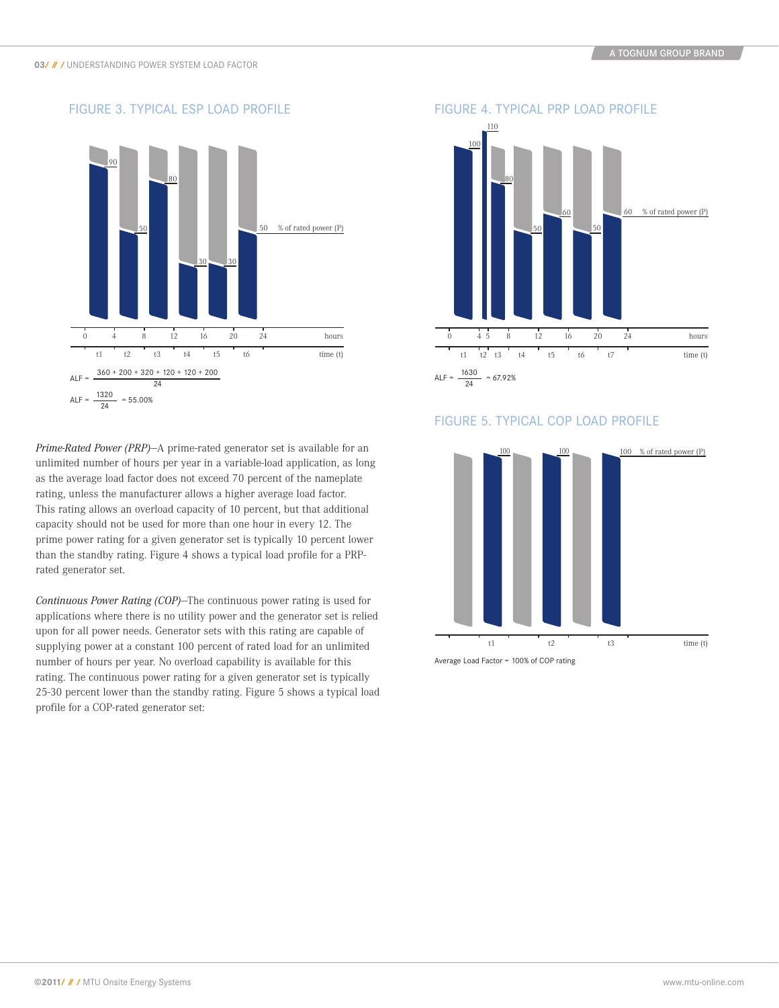

*Prime-Rated Power (PRP)*—A prime-rated generator set is available for an unlimited number of hours per year in a variable-load application, as long as the average load factor does not exceed 70 percent of the nameplate rating, unless the manufacturer allows a higher average load factor. This rating allows an overload capacity of 10 percent, but that additional capacity should not be used for more than one hour in every 12. The prime power rating for a given generator set is typically 10 percent lower than the standby rating. Figure 4 shows a typical load profile for a PRPrated generator set.

*Continuous Power Rating (COP)*—The continuous power rating is used for applications where there is no utility power and the generator set is relied upon for all power needs. Generator sets with this rating are capable of supplying power at a constant 100 percent of rated load for an unlimited number of hours per year. No overload capability is available for this rating. The continuous power rating for a given generator set is typically 25-30 percent lower than the standby rating. Figure 5 shows a typical load profile for a COP-rated generator set:



#### Figure 5. typical cop load profile